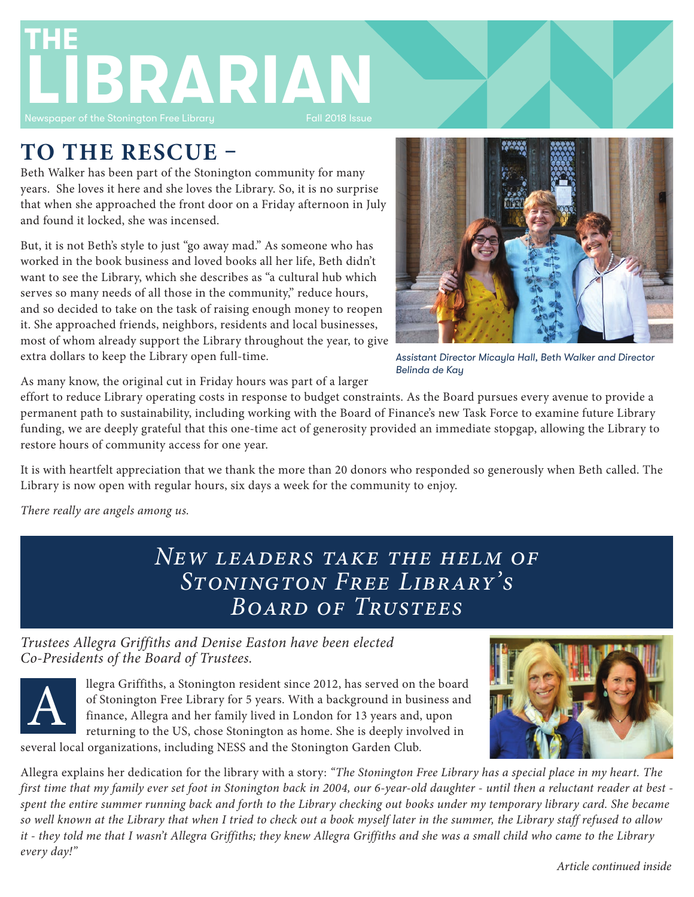

# **TO THE RESCUE –**

Beth Walker has been part of the Stonington community for many years. She loves it here and she loves the Library. So, it is no surprise that when she approached the front door on a Friday afternoon in July and found it locked, she was incensed.

But, it is not Beth's style to just "go away mad." As someone who has worked in the book business and loved books all her life, Beth didn't want to see the Library, which she describes as "a cultural hub which serves so many needs of all those in the community," reduce hours, and so decided to take on the task of raising enough money to reopen it. She approached friends, neighbors, residents and local businesses, most of whom already support the Library throughout the year, to give extra dollars to keep the Library open full-time.



*Assistant Director Micayla Hall, Beth Walker and Director Belinda de Kay*

As many know, the original cut in Friday hours was part of a larger

effort to reduce Library operating costs in response to budget constraints. As the Board pursues every avenue to provide a permanent path to sustainability, including working with the Board of Finance's new Task Force to examine future Library funding, we are deeply grateful that this one-time act of generosity provided an immediate stopgap, allowing the Library to restore hours of community access for one year.

It is with heartfelt appreciation that we thank the more than 20 donors who responded so generously when Beth called. The Library is now open with regular hours, six days a week for the community to enjoy.

*There really are angels among us.*

## *New leaders take the helm of Stonington Free Library's Board of Trustees*

### *Trustees Allegra Griffiths and Denise Easton have been elected Co-Presidents of the Board of Trustees.*



llegra Griffiths, a Stonington resident since 2012, has served on the board of Stonington Free Library for 5 years. With a background in business and finance, Allegra and her family lived in London for 13 years and, upon returning to the US, chose Stonington as home. She is deeply involved in several local organizations, including NESS and the Stonington Garden Club.



Allegra explains her dedication for the library with a story: *"The Stonington Free Library has a special place in my heart. The first time that my family ever set foot in Stonington back in 2004, our 6-year-old daughter - until then a reluctant reader at best spent the entire summer running back and forth to the Library checking out books under my temporary library card. She became so well known at the Library that when I tried to check out a book myself later in the summer, the Library staff refused to allow it - they told me that I wasn't Allegra Griffiths; they knew Allegra Griffiths and she was a small child who came to the Library every day!"*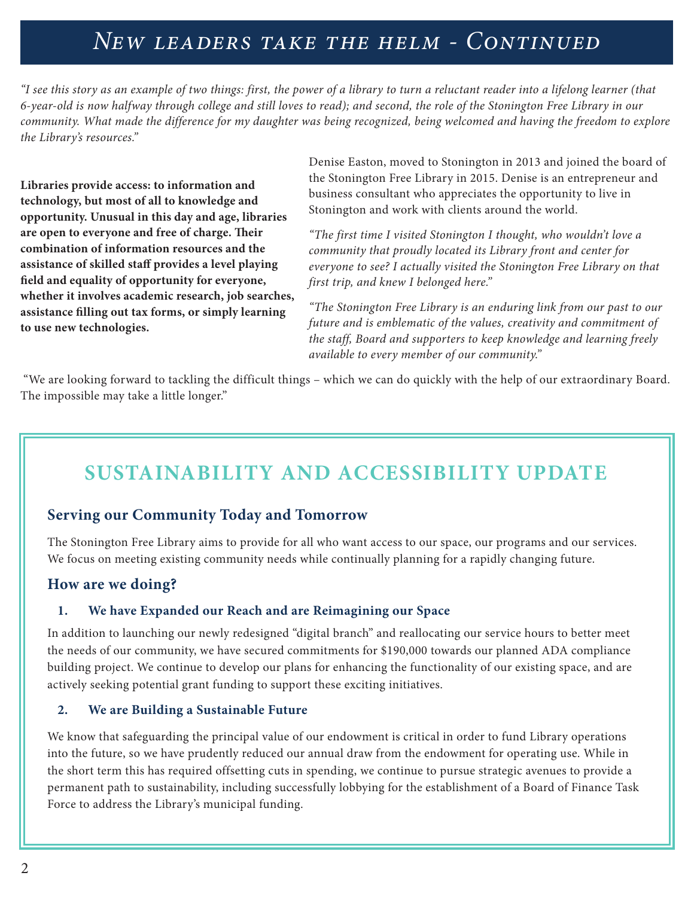# *New leaders take the helm - Continued*

*"I see this story as an example of two things: first, the power of a library to turn a reluctant reader into a lifelong learner (that 6-year-old is now halfway through college and still loves to read); and second, the role of the Stonington Free Library in our community. What made the difference for my daughter was being recognized, being welcomed and having the freedom to explore the Library's resources."*

**Libraries provide access: to information and technology, but most of all to knowledge and opportunity. Unusual in this day and age, libraries are open to everyone and free of charge. Their combination of information resources and the assistance of skilled staff provides a level playing field and equality of opportunity for everyone, whether it involves academic research, job searches, assistance filling out tax forms, or simply learning to use new technologies.**

Denise Easton, moved to Stonington in 2013 and joined the board of the Stonington Free Library in 2015. Denise is an entrepreneur and business consultant who appreciates the opportunity to live in Stonington and work with clients around the world.

*"The first time I visited Stonington I thought, who wouldn't love a community that proudly located its Library front and center for everyone to see? I actually visited the Stonington Free Library on that first trip, and knew I belonged here."* 

*"The Stonington Free Library is an enduring link from our past to our future and is emblematic of the values, creativity and commitment of the staff, Board and supporters to keep knowledge and learning freely available to every member of our community."*

 "We are looking forward to tackling the difficult things – which we can do quickly with the help of our extraordinary Board. The impossible may take a little longer."

# **SUSTAINABILITY AND ACCESSIBILITY UPDATE**

### **Serving our Community Today and Tomorrow**

The Stonington Free Library aims to provide for all who want access to our space, our programs and our services. We focus on meeting existing community needs while continually planning for a rapidly changing future.

### **How are we doing?**

### **1. We have Expanded our Reach and are Reimagining our Space**

In addition to launching our newly redesigned "digital branch" and reallocating our service hours to better meet the needs of our community, we have secured commitments for \$190,000 towards our planned ADA compliance building project. We continue to develop our plans for enhancing the functionality of our existing space, and are actively seeking potential grant funding to support these exciting initiatives.

### **2. We are Building a Sustainable Future**

We know that safeguarding the principal value of our endowment is critical in order to fund Library operations into the future, so we have prudently reduced our annual draw from the endowment for operating use. While in the short term this has required offsetting cuts in spending, we continue to pursue strategic avenues to provide a permanent path to sustainability, including successfully lobbying for the establishment of a Board of Finance Task Force to address the Library's municipal funding.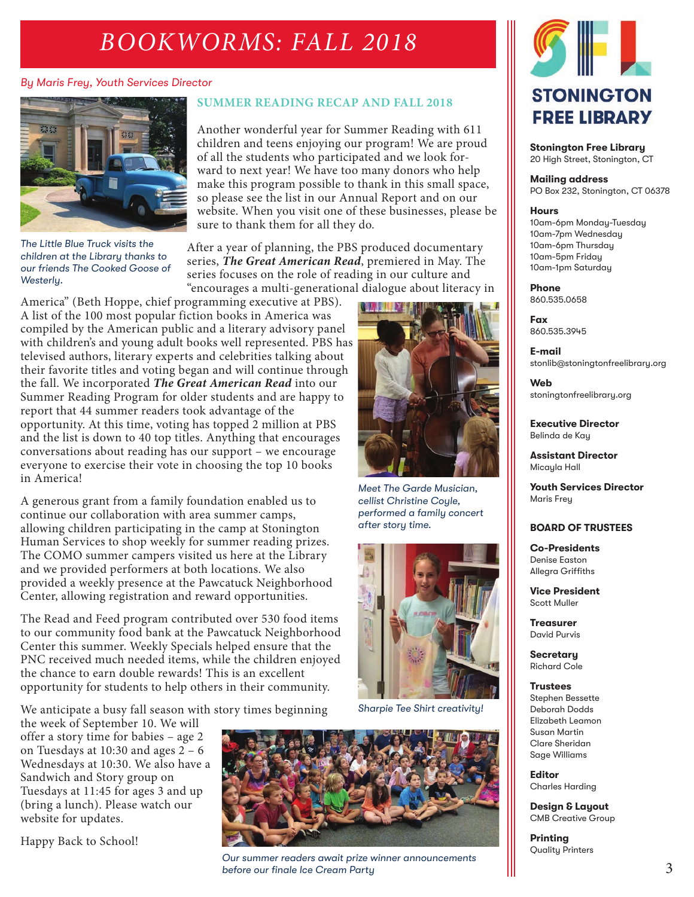# *BOOKWORMS: FALL 2018*

### *By Maris Frey, Youth Services Director*



*The Little Blue Truck visits the children at the Library thanks to our friends The Cooked Goose of Westerly.*

### **SUMMER READING RECAP AND FALL 2018**

Another wonderful year for Summer Reading with 611 children and teens enjoying our program! We are proud of all the students who participated and we look forward to next year! We have too many donors who help make this program possible to thank in this small space, so please see the list in our Annual Report and on our website. When you visit one of these businesses, please be sure to thank them for all they do.

After a year of planning, the PBS produced documentary series, *The Great American Read*, premiered in May. The series focuses on the role of reading in our culture and "encourages a multi-generational dialogue about literacy in

> *Meet The Garde Musician, cellist Christine Coyle, performed a family concert*

*Sharpie Tee Shirt creativity!*

*after story time.*

America" (Beth Hoppe, chief programming executive at PBS). A list of the 100 most popular fiction books in America was compiled by the American public and a literary advisory panel with children's and young adult books well represented. PBS has televised authors, literary experts and celebrities talking about their favorite titles and voting began and will continue through the fall. We incorporated *The Great American Read* into our Summer Reading Program for older students and are happy to report that 44 summer readers took advantage of the opportunity. At this time, voting has topped 2 million at PBS and the list is down to 40 top titles. Anything that encourages conversations about reading has our support – we encourage everyone to exercise their vote in choosing the top 10 books in America!

A generous grant from a family foundation enabled us to continue our collaboration with area summer camps, allowing children participating in the camp at Stonington Human Services to shop weekly for summer reading prizes. The COMO summer campers visited us here at the Library and we provided performers at both locations. We also provided a weekly presence at the Pawcatuck Neighborhood Center, allowing registration and reward opportunities.

The Read and Feed program contributed over 530 food items to our community food bank at the Pawcatuck Neighborhood Center this summer. Weekly Specials helped ensure that the PNC received much needed items, while the children enjoyed the chance to earn double rewards! This is an excellent opportunity for students to help others in their community.

We anticipate a busy fall season with story times beginning

the week of September 10. We will offer a story time for babies – age 2 on Tuesdays at 10:30 and ages 2 – 6 Wednesdays at 10:30. We also have a Sandwich and Story group on Tuesdays at 11:45 for ages 3 and up (bring a lunch). Please watch our website for updates.

Happy Back to School!



*Our summer readers await prize winner announcements before our finale Ice Cream Party*



**Stonington Free Library** 20 High Street, Stonington, CT

#### **Mailing address**

PO Box 232, Stonington, CT 06378

#### **Hours**

10am-6pm Monday-Tuesday 10am-7pm Wednesday 10am-6pm Thursday 10am-5pm Friday 10am-1pm Saturday

#### **Phone** 860.535.0658

**Fax**

860.535.3945

**E-mail** stonlib@stoningtonfreelibrary.org

**Web** stoningtonfreelibrary.org

**Executive Director** Belinda de Kay

**Assistant Director** Micayla Hall

**Youth Services Director** Maris Frey

#### **BOARD OF TRUSTEES**

**Co-Presidents** Denise Easton Allegra Griffiths

**Vice President** Scott Muller

**Treasurer** David Purvis

**Secretary** Richard Cole

#### **Trustees**

Stephen Bessette Deborah Dodds Elizabeth Leamon Susan Martin Clare Sheridan Sage Williams

**Editor** Charles Harding

**Design & Layout** CMB Creative Group

**Printing** Quality Printers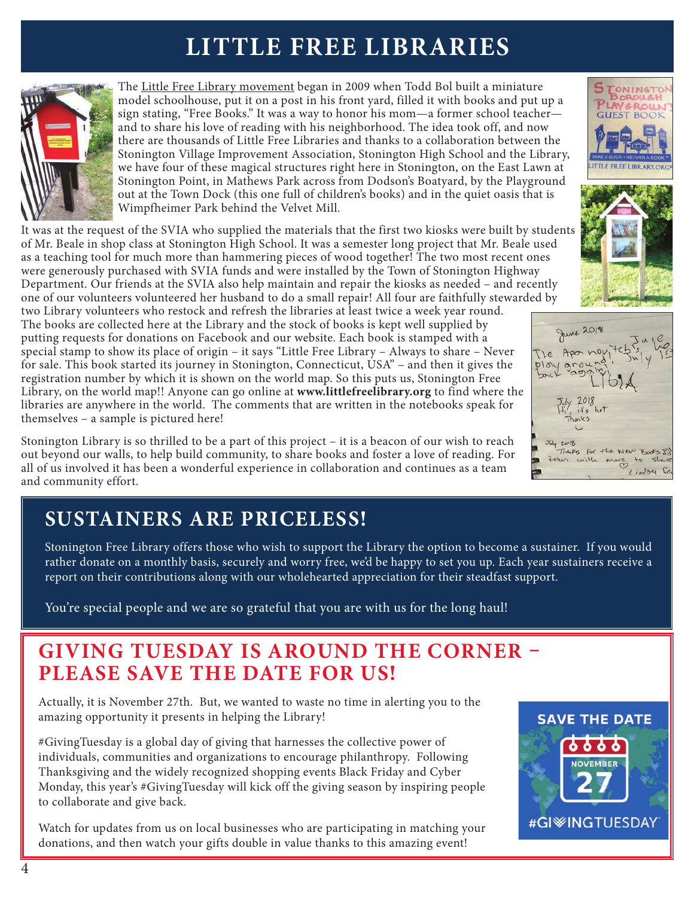# **LITTLE FREE LIBRARIES**



The Little Free Library movement began in 2009 when Todd Bol built a miniature model schoolhouse, put it on a post in his front yard, filled it with books and put up a sign stating, "Free Books." It was a way to honor his mom—a former school teacher and to share his love of reading with his neighborhood. The idea took off, and now there are thousands of Little Free Libraries and thanks to a collaboration between the Stonington Village Improvement Association, Stonington High School and the Library, we have four of these magical structures right here in Stonington, on the East Lawn at Stonington Point, in Mathews Park across from Dodson's Boatyard, by the Playground out at the Town Dock (this one full of children's books) and in the quiet oasis that is Wimpfheimer Park behind the Velvet Mill.

It was at the request of the SVIA who supplied the materials that the first two kiosks were built by students of Mr. Beale in shop class at Stonington High School. It was a semester long project that Mr. Beale used as a teaching tool for much more than hammering pieces of wood together! The two most recent ones were generously purchased with SVIA funds and were installed by the Town of Stonington Highway Department. Our friends at the SVIA also help maintain and repair the kiosks as needed – and recently one of our volunteers volunteered her husband to do a small repair! All four are faithfully stewarded by

two Library volunteers who restock and refresh the libraries at least twice a week year round. The books are collected here at the Library and the stock of books is kept well supplied by putting requests for donations on Facebook and our website. Each book is stamped with a special stamp to show its place of origin – it says "Little Free Library – Always to share – Never for sale. This book started its journey in Stonington, Connecticut, USA" – and then it gives the registration number by which it is shown on the world map. So this puts us, Stonington Free Library, on the world map!! Anyone can go online at **www.littlefreelibrary.org** to find where the libraries are anywhere in the world. The comments that are written in the notebooks speak for themselves – a sample is pictured here!

Stonington Library is so thrilled to be a part of this project – it is a beacon of our wish to reach out beyond our walls, to help build community, to share books and foster a love of reading. For all of us involved it has been a wonderful experience in collaboration and continues as a team and community effort.

# **SUSTAINERS ARE PRICELESS!**

Stonington Free Library offers those who wish to support the Library the option to become a sustainer. If you would rather donate on a monthly basis, securely and worry free, we'd be happy to set you up. Each year sustainers receive a report on their contributions along with our wholehearted appreciation for their steadfast support.

You're special people and we are so grateful that you are with us for the long haul!

## **GIVING TUESDAY IS AROUND THE CORNER – PLEASE SAVE THE DATE FOR US!**

Actually, it is November 27th. But, we wanted to waste no time in alerting you to the amazing opportunity it presents in helping the Library!

#GivingTuesday is a global day of giving that harnesses the collective power of individuals, communities and organizations to encourage philanthropy. Following Thanksgiving and the widely recognized shopping events Black Friday and Cyber Monday, this year's #GivingTuesday will kick off the giving season by inspiring people to collaborate and give back.

Watch for updates from us on local businesses who are participating in matching your donations, and then watch your gifts double in value thanks to this amazing event!







June 2018 The Aponey  $7y/2018$ <br> $11/313$  het  $J_{\text{wly}}$  2018 Thanks for the New Books 8% Zeten with more to she Lindsy fe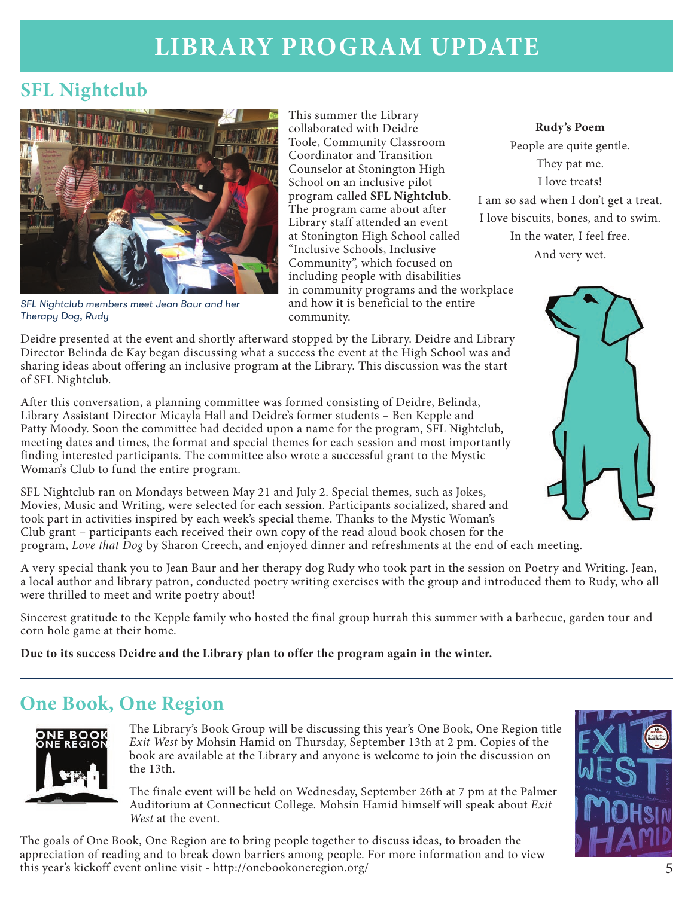# **LIBRARY PROGRAM UPDATE**

## **SFL Nightclub**



*SFL Nightclub members meet Jean Baur and her Therapy Dog, Rudy*

This summer the Library collaborated with Deidre Toole, Community Classroom Coordinator and Transition Counselor at Stonington High School on an inclusive pilot program called **SFL Nightclub**. The program came about after Library staff attended an event at Stonington High School called "Inclusive Schools, Inclusive Community", which focused on including people with disabilities in community programs and the workplace and how it is beneficial to the entire community.

They pat me. I love treats! I am so sad when I don't get a treat. I love biscuits, bones, and to swim. In the water, I feel free. And very wet.

**Rudy's Poem** People are quite gentle.



Deidre presented at the event and shortly afterward stopped by the Library. Deidre and Library Director Belinda de Kay began discussing what a success the event at the High School was and sharing ideas about offering an inclusive program at the Library. This discussion was the start of SFL Nightclub.

After this conversation, a planning committee was formed consisting of Deidre, Belinda, Library Assistant Director Micayla Hall and Deidre's former students – Ben Kepple and Patty Moody. Soon the committee had decided upon a name for the program, SFL Nightclub, meeting dates and times, the format and special themes for each session and most importantly finding interested participants. The committee also wrote a successful grant to the Mystic Woman's Club to fund the entire program.

SFL Nightclub ran on Mondays between May 21 and July 2. Special themes, such as Jokes, Movies, Music and Writing, were selected for each session. Participants socialized, shared and took part in activities inspired by each week's special theme. Thanks to the Mystic Woman's Club grant – participants each received their own copy of the read aloud book chosen for the program, *Love that Dog* by Sharon Creech, and enjoyed dinner and refreshments at the end of each meeting.

A very special thank you to Jean Baur and her therapy dog Rudy who took part in the session on Poetry and Writing. Jean, a local author and library patron, conducted poetry writing exercises with the group and introduced them to Rudy, who all were thrilled to meet and write poetry about!

Sincerest gratitude to the Kepple family who hosted the final group hurrah this summer with a barbecue, garden tour and corn hole game at their home.

**Due to its success Deidre and the Library plan to offer the program again in the winter.**

## **One Book, One Region**



The Library's Book Group will be discussing this year's One Book, One Region title *Exit West* by Mohsin Hamid on Thursday, September 13th at 2 pm. Copies of the book are available at the Library and anyone is welcome to join the discussion on the 13th.

The finale event will be held on Wednesday, September 26th at 7 pm at the Palmer Auditorium at Connecticut College. Mohsin Hamid himself will speak about *Exit West* at the event.

The goals of One Book, One Region are to bring people together to discuss ideas, to broaden the appreciation of reading and to break down barriers among people. For more information and to view this year's kickoff event online visit - http://onebookoneregion.org/

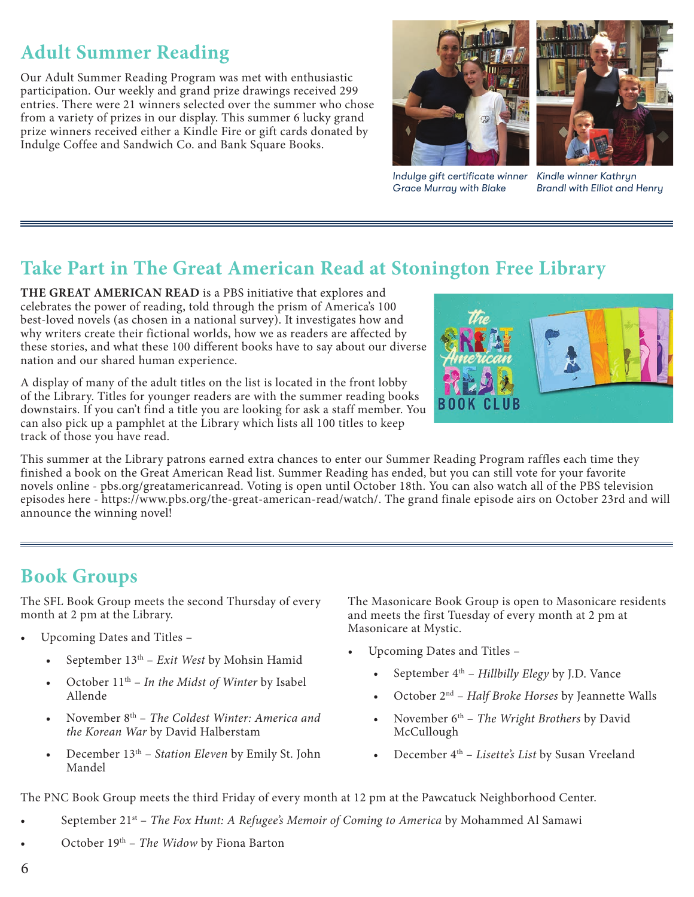## **Adult Summer Reading**

Our Adult Summer Reading Program was met with enthusiastic participation. Our weekly and grand prize drawings received 299 entries. There were 21 winners selected over the summer who chose from a variety of prizes in our display. This summer 6 lucky grand prize winners received either a Kindle Fire or gift cards donated by Indulge Coffee and Sandwich Co. and Bank Square Books.



*Indulge gift certificate winner Grace Murray with Blake*



*Kindle winner Kathryn Brandl with Elliot and Henry*

## **Take Part in The Great American Read at Stonington Free Library**

**THE GREAT AMERICAN READ** is a PBS initiative that explores and celebrates the power of reading, told through the prism of America's 100 best-loved novels (as chosen in a national survey). It investigates how and why writers create their fictional worlds, how we as readers are affected by these stories, and what these 100 different books have to say about our diverse nation and our shared human experience.

A display of many of the adult titles on the list is located in the front lobby of the Library. Titles for younger readers are with the summer reading books downstairs. If you can't find a title you are looking for ask a staff member. You can also pick up a pamphlet at the Library which lists all 100 titles to keep track of those you have read.



This summer at the Library patrons earned extra chances to enter our Summer Reading Program raffles each time they finished a book on the Great American Read list. Summer Reading has ended, but you can still vote for your favorite novels online - pbs.org/greatamericanread. Voting is open until October 18th. You can also watch all of the PBS television episodes here - https://www.pbs.org/the-great-american-read/watch/. The grand finale episode airs on October 23rd and will announce the winning novel!

## **Book Groups**

The SFL Book Group meets the second Thursday of every month at 2 pm at the Library.

- Upcoming Dates and Titles
	- September 13th *Exit West* by Mohsin Hamid
	- October 11th *In the Midst of Winter* by Isabel Allende
	- November 8th *The Coldest Winter: America and the Korean War* by David Halberstam
	- December 13th *Station Eleven* by Emily St. John Mandel

The Masonicare Book Group is open to Masonicare residents and meets the first Tuesday of every month at 2 pm at Masonicare at Mystic.

- Upcoming Dates and Titles
	- September 4th *Hillbilly Elegy* by J.D. Vance
	- October 2nd *Half Broke Horses* by Jeannette Walls
	- November 6th *The Wright Brothers* by David McCullough
	- December 4th *Lisette's List* by Susan Vreeland

The PNC Book Group meets the third Friday of every month at 12 pm at the Pawcatuck Neighborhood Center.

- September 21st *The Fox Hunt: A Refugee's Memoir of Coming to America* by Mohammed Al Samawi
- October 19th *The Widow* by Fiona Barton
- 6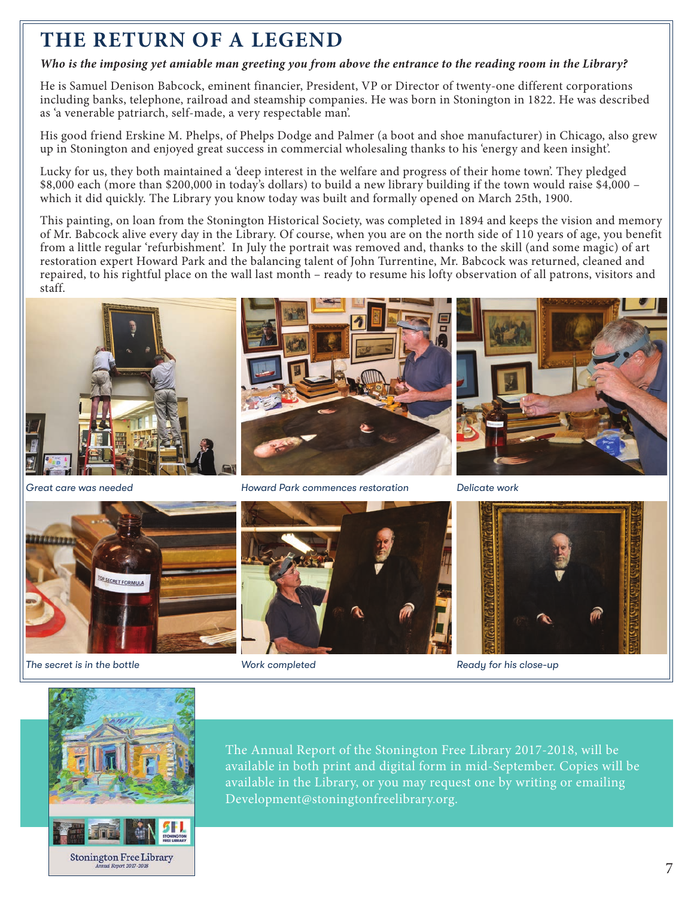## **THE RETURN OF A LEGEND**

### *Who is the imposing yet amiable man greeting you from above the entrance to the reading room in the Library?*

He is Samuel Denison Babcock, eminent financier, President, VP or Director of twenty-one different corporations including banks, telephone, railroad and steamship companies. He was born in Stonington in 1822. He was described as 'a venerable patriarch, self-made, a very respectable man'.

His good friend Erskine M. Phelps, of Phelps Dodge and Palmer (a boot and shoe manufacturer) in Chicago, also grew up in Stonington and enjoyed great success in commercial wholesaling thanks to his 'energy and keen insight'.

Lucky for us, they both maintained a 'deep interest in the welfare and progress of their home town'. They pledged \$8,000 each (more than \$200,000 in today's dollars) to build a new library building if the town would raise \$4,000 – which it did quickly. The Library you know today was built and formally opened on March 25th, 1900.

This painting, on loan from the Stonington Historical Society, was completed in 1894 and keeps the vision and memory of Mr. Babcock alive every day in the Library. Of course, when you are on the north side of 110 years of age, you benefit from a little regular 'refurbishment'. In July the portrait was removed and, thanks to the skill (and some magic) of art restoration expert Howard Park and the balancing talent of John Turrentine, Mr. Babcock was returned, cleaned and repaired, to his rightful place on the wall last month – ready to resume his lofty observation of all patrons, visitors and staff.





*The secret is in the bottle*

*Great care was needed Howard Park commences restoration Delicate work*





*Work completed Ready for his close-up*



The Annual Report of the Stonington Free Library 2017-2018, will be available in both print and digital form in mid-September. Copies will be available in the Library, or you may request one by writing or emailing Development@stoningtonfreelibrary.org.